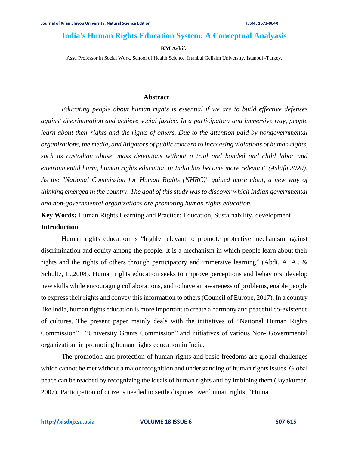# **India's Human Rights Education System: A Conceptual Analyasis**

### **KM Ashifa**

Asst. Professor in Social Work, School of Health Science, Istanbul Gelisim University, Istanbul -Turkey,

### **Abstract**

*Educating people about human rights is essential if we are to build effective defenses against discrimination and achieve social justice. In a participatory and immersive way, people learn about their rights and the rights of others. Due to the attention paid by nongovernmental organizations, the media, and litigators of public concern to increasing violations of human rights, such as custodian abuse, mass detentions without a trial and bonded and child labor and environmental harm, human rights education in India has become more relevant" (Ashifa,2020). As the "National Commission for Human Rights (NHRC)" gained more clout, a new way of thinking emerged in the country. The goal of this study was to discover which Indian governmental and non-governmental organizations are promoting human rights education.*

**Key Words:** Human Rights Learning and Practice; Education, Sustainability, development **Introduction**

Human rights education is "highly relevant to promote protective mechanism against discrimination and equity among the people. It is a mechanism in which people learn about their rights and the rights of others through participatory and immersive learning" (Abdi, A. A., & Schultz, L.,2008). Human rights education seeks to improve perceptions and behaviors, develop new skills while encouraging collaborations, and to have an awareness of problems, enable people to express their rights and convey this information to others (Council of Europe, 2017). In a country like India, human rights education is more important to create a harmony and peaceful co-existence of cultures. The present paper mainly deals with the initiatives of "National Human Rights Commission" , "University Grants Commission" and initiatives of various Non- Governmental organization in promoting human rights education in India.

The promotion and protection of human rights and basic freedoms are global challenges which cannot be met without a major recognition and understanding of human rights issues. Global peace can be reached by recognizing the ideals of human rights and by imbibing them (Jayakumar, 2007). Participation of citizens needed to settle disputes over human rights. "Huma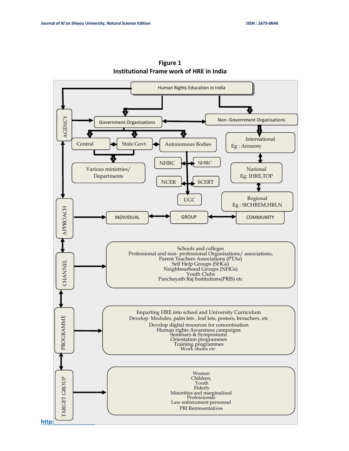

**Figure 1 Institutional Frame work of HRE in India**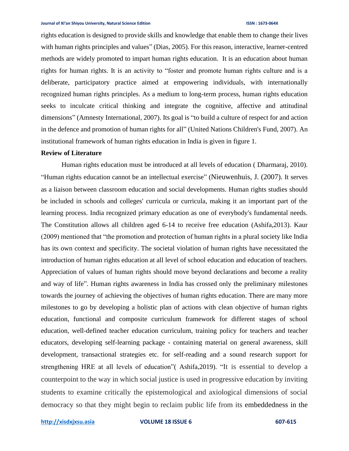rights education is designed to provide skills and knowledge that enable them to change their lives with human rights principles and values" (Dias, 2005). For this reason, interactive, learner-centred methods are widely promoted to impart human rights education. It is an education about human rights for human rights. It is an activity to "foster and promote human rights culture and is a deliberate, participatory practice aimed at empowering individuals, with internationally recognized human rights principles. As a medium to long-term process, human rights education seeks to inculcate critical thinking and integrate the cognitive, affective and attitudinal dimensions" (Amnesty International, 2007). Its goal is "to build a culture of respect for and action in the defence and promotion of human rights for all" (United Nations Children's Fund, 2007). An institutional framework of human rights education in India is given in figure 1.

### **Review of Literature**

Human rights education must be introduced at all levels of education ( Dharmaraj, 2010). "Human rights education cannot be an intellectual exercise" (Nieuwenhuis, J. (2007). It serves as a liaison between classroom education and social developments. Human rights studies should be included in schools and colleges' curricula or curricula, making it an important part of the learning process. India recognized primary education as one of everybody's fundamental needs. The Constitution allows all children aged 6-14 to receive free education (Ashifa,2013). Kaur (2009) mentioned that "the promotion and protection of human rights in a plural society like India has its own context and specificity. The societal violation of human rights have necessitated the introduction of human rights education at all level of school education and education of teachers. Appreciation of values of human rights should move beyond declarations and become a reality and way of life". Human rights awareness in India has crossed only the preliminary milestones towards the journey of achieving the objectives of human rights education. There are many more milestones to go by developing a holistic plan of actions with clean objective of human rights education, functional and composite curriculum framework for different stages of school education, well-defined teacher education curriculum, training policy for teachers and teacher educators, developing self-learning package - containing material on general awareness, skill development, transactional strategies etc. for self-reading and a sound research support for strengthening HRE at all levels of education"( Ashifa,2019). "It is essential to develop a counterpoint to the way in which social justice is used in progressive education by inviting students to examine critically the epistemological and axiological dimensions of social democracy so that they might begin to reclaim public life from its embeddedness in the

**[http://xisdxjxsu.asia](http://xisdxjxsu.asia/) VOLUME 18 ISSUE 6 607-615**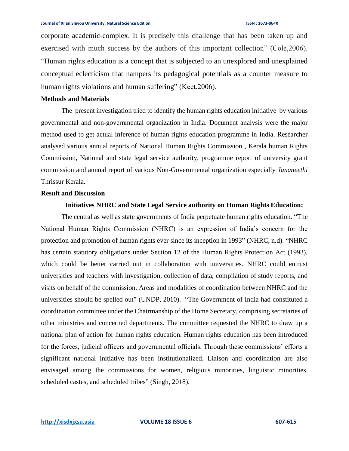corporate academic-complex. It is precisely this challenge that has been taken up and exercised with much success by the authors of this important collection" (Cole,2006). "Human rights education is a concept that is subjected to an unexplored and unexplained conceptual eclecticism that hampers its pedagogical potentials as a counter measure to human rights violations and human suffering" (Keet, 2006).

### **Methods and Materials**

The present investigation tried to identify the human rights education initiative by various governmental and non-governmental organization in India. Document analysis were the major method used to get actual inference of human rights education programme in India. Researcher analysed various annual reports of National Human Rights Commission , Kerala human Rights Commission, National and state legal service authority, programme report of university grant commission and annual report of various Non-Governmental organization especially *Jananeethi* Thrissur Kerala.

### **Result and Discussion**

### **Initiatives NHRC and State Legal Service authority on Human Rights Education:**

The central as well as state governments of India perpetuate human rights education. "The National Human Rights Commission (NHRC) is an expression of India's concern for the protection and promotion of human rights ever since its inception in 1993" (NHRC, n.d). "NHRC has certain statutory obligations under Section 12 of the Human Rights Protection Act (1993), which could be better carried out in collaboration with universities. NHRC could entrust universities and teachers with investigation, collection of data, compilation of study reports, and visits on behalf of the commission. Areas and modalities of coordination between NHRC and the universities should be spelled out" (UNDP, 2010). "The Government of India had constituted a coordination committee under the Chairmanship of the Home Secretary, comprising secretaries of other ministries and concerned departments. The committee requested the NHRC to draw up a national plan of action for human rights education. Human rights education has been introduced for the forces, judicial officers and governmental officials. Through these commissions' efforts a significant national initiative has been institutionalized. Liaison and coordination are also envisaged among the commissions for women, religious minorities, linguistic minorities, scheduled castes, and scheduled tribes" (Singh, 2018).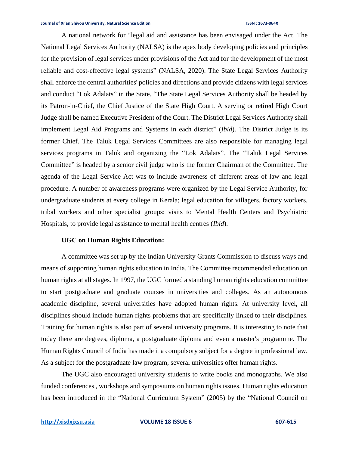A national network for "legal aid and assistance has been envisaged under the Act. The National Legal Services Authority (NALSA) is the apex body developing policies and principles for the provision of legal services under provisions of the Act and for the development of the most reliable and cost-effective legal systems" (NALSA, 2020). The State Legal Services Authority shall enforce the central authorities' policies and directions and provide citizens with legal services and conduct "Lok Adalats" in the State. "The State Legal Services Authority shall be headed by its Patron-in-Chief, the Chief Justice of the State High Court. A serving or retired High Court Judge shall be named Executive President of the Court. The District Legal Services Authority shall implement Legal Aid Programs and Systems in each district" (*Ibid*). The District Judge is its former Chief. The Taluk Legal Services Committees are also responsible for managing legal services programs in Taluk and organizing the "Lok Adalats". The "Taluk Legal Services Committee" is headed by a senior civil judge who is the former Chairman of the Committee. The agenda of the Legal Service Act was to include awareness of different areas of law and legal procedure. A number of awareness programs were organized by the Legal Service Authority, for undergraduate students at every college in Kerala; legal education for villagers, factory workers, tribal workers and other specialist groups; visits to Mental Health Centers and Psychiatric Hospitals, to provide legal assistance to mental health centres (*Ibid*).

### **UGC on Human Rights Education:**

A committee was set up by the Indian University Grants Commission to discuss ways and means of supporting human rights education in India. The Committee recommended education on human rights at all stages. In 1997, the UGC formed a standing human rights education committee to start postgraduate and graduate courses in universities and colleges. As an autonomous academic discipline, several universities have adopted human rights. At university level, all disciplines should include human rights problems that are specifically linked to their disciplines. Training for human rights is also part of several university programs. It is interesting to note that today there are degrees, diploma, a postgraduate diploma and even a master's programme. The Human Rights Council of India has made it a compulsory subject for a degree in professional law. As a subject for the postgraduate law program, several universities offer human rights.

The UGC also encouraged university students to write books and monographs. We also funded conferences , workshops and symposiums on human rights issues. Human rights education has been introduced in the "National Curriculum System" (2005) by the "National Council on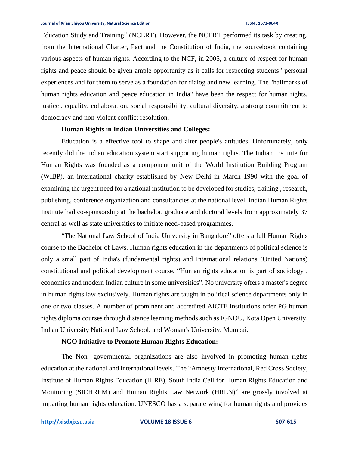Education Study and Training" (NCERT). However, the NCERT performed its task by creating, from the International Charter, Pact and the Constitution of India, the sourcebook containing various aspects of human rights. According to the NCF, in 2005, a culture of respect for human rights and peace should be given ample opportunity as it calls for respecting students ' personal experiences and for them to serve as a foundation for dialog and new learning. The "hallmarks of human rights education and peace education in India" have been the respect for human rights, justice , equality, collaboration, social responsibility, cultural diversity, a strong commitment to democracy and non-violent conflict resolution.

### **Human Rights in Indian Universities and Colleges:**

Education is a effective tool to shape and alter people's attitudes. Unfortunately, only recently did the Indian education system start supporting human rights. The Indian Institute for Human Rights was founded as a component unit of the World Institution Building Program (WIBP), an international charity established by New Delhi in March 1990 with the goal of examining the urgent need for a national institution to be developed for studies, training , research, publishing, conference organization and consultancies at the national level. Indian Human Rights Institute had co-sponsorship at the bachelor, graduate and doctoral levels from approximately 37 central as well as state universities to initiate need-based programmes.

"The National Law School of India University in Bangalore" offers a full Human Rights course to the Bachelor of Laws. Human rights education in the departments of political science is only a small part of India's (fundamental rights) and International relations (United Nations) constitutional and political development course. "Human rights education is part of sociology , economics and modern Indian culture in some universities". No university offers a master's degree in human rights law exclusively. Human rights are taught in political science departments only in one or two classes. A number of prominent and accredited AICTE institutions offer PG human rights diploma courses through distance learning methods such as IGNOU, Kota Open University, Indian University National Law School, and Woman's University, Mumbai.

### **NGO Initiative to Promote Human Rights Education:**

The Non- governmental organizations are also involved in promoting human rights education at the national and international levels. The "Amnesty International, Red Cross Society, Institute of Human Rights Education (IHRE), South India Cell for Human Rights Education and Monitoring (SICHREM) and Human Rights Law Network (HRLN)" are grossly involved at imparting human rights education. UNESCO has a separate wing for human rights and provides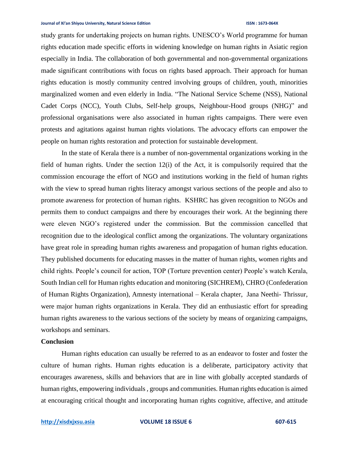### **Journal of Xi'an Shiyou University, Natural Science Edition ISSN : 1673-064X**

study grants for undertaking projects on human rights. UNESCO's World programme for human rights education made specific efforts in widening knowledge on human rights in Asiatic region especially in India. The collaboration of both governmental and non-governmental organizations made significant contributions with focus on rights based approach. Their approach for human rights education is mostly community centred involving groups of children, youth, minorities marginalized women and even elderly in India. "The National Service Scheme (NSS), National Cadet Corps (NCC), Youth Clubs, Self-help groups, Neighbour-Hood groups (NHG)" and professional organisations were also associated in human rights campaigns. There were even protests and agitations against human rights violations. The advocacy efforts can empower the people on human rights restoration and protection for sustainable development.

In the state of Kerala there is a number of non-governmental organizations working in the field of human rights. Under the section 12(i) of the Act, it is compulsorily required that the commission encourage the effort of NGO and institutions working in the field of human rights with the view to spread human rights literacy amongst various sections of the people and also to promote awareness for protection of human rights. KSHRC has given recognition to NGOs and permits them to conduct campaigns and there by encourages their work. At the beginning there were eleven NGO's registered under the commission. But the commission cancelled that recognition due to the ideological conflict among the organizations. The voluntary organizations have great role in spreading human rights awareness and propagation of human rights education. They published documents for educating masses in the matter of human rights, women rights and child rights. People's council for action, TOP (Torture prevention center) People's watch Kerala, South Indian cell for Human rights education and monitoring (SICHREM), CHRO (Confederation of Human Rights Organization), Amnesty international – Kerala chapter, Jana Neethi- Thrissur, were major human rights organizations in Kerala. They did an enthusiastic effort for spreading human rights awareness to the various sections of the society by means of organizing campaigns, workshops and seminars.

### **Conclusion**

Human rights education can usually be referred to as an endeavor to foster and foster the culture of human rights. Human rights education is a deliberate, participatory activity that encourages awareness, skills and behaviors that are in line with globally accepted standards of human rights, empowering individuals , groups and communities. Human rights education is aimed at encouraging critical thought and incorporating human rights cognitive, affective, and attitude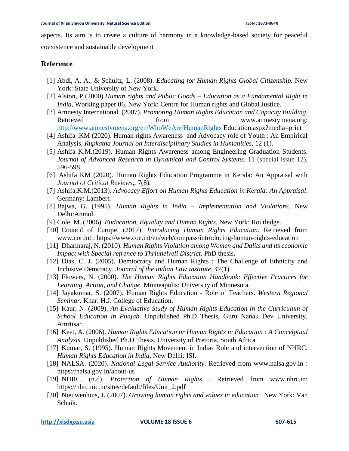aspects. Its aim is to create a culture of harmony in a knowledge-based society for peaceful coexistence and sustainable development

## **Reference**

- [1] Abdi, A. A., & Schultz, L. (2008). *Educating for Human Rights Global Citizenship.* New York: State University of New York.
- [2] Alston, P (2000).*Human rights and Public Goods – Education as a Fundamental Right in India,* Working paper 06. New York: Centre for Human rights and Global Justice.
- [3] Amnesty International. (2007). *Promoting Human Rights Education and Capacity Building.* Retrieved from from www.amnestymena.org: <http://www.amnestymena.org/en/WhoWeAre/HumanRights> Education.aspx?media=print
- [4] Ashifa .KM (2020). Human rights Awareness and Advocacy role of Youth : An Empirical Analysis, *Rupkatha Journal on Interdisciplinary Studies in Humanities*, 12 (1).
- [5] Ashifa K.M.(2019). Human Rights Awareness among Engineering Graduation Students. *Journal of Advanced Research in Dynamical and Control Systems*, 11 (special issue 12), 596-598.
- [6] Ashifa KM (2020). Human Rights Education Programme in Kerala: An Appraisal with *Journal of Critical Reviews*,, 7(8).
- [7] Ashifa,K.M.(2013). *Advocacy Effort on Human Rights Education in Kerala: An Appraisal*. Germany: Lambert.
- [8] Bajwa, G. (1995). *Human Rights in India – Implementation and Violations.* New Delhi:Anmol.
- [9] Cole, M. (2006). *Eudacation, Equality and Human Rights.* New York: Routledge.
- [10] Council of Europe. (2017). *Introducing Human Rights Education*. Retrieved from www.cor.int : https://www.coe.int/en/web/compass/introducing-human-rights-education
- [11] Dharmaraj, N. (2010). *Human Rights Violation among Women and Dalits and its economic Impact with Special refrence to Thriunelveli District.* PhD thesis.
- [12] Dias, C. J. (2005). Demiocracy and Human Rights : The Challenge of Ethnicity and Inclusive Demcracy. *Jounral of the Indian Law Institute, 47*(1).
- [13] Flowers, N. (2000). *The Human Rights Education Handbook: Effective Practices for Learning, Action, and Change.* Minneapolis: University of Minnesota.
- [14] Jayakumar, S. (2007). Human Rights Education Role of Teachers. *Western Regional Seminar.* Khar: H.J. College of Education.
- [15] Kaur, N. (2009). *An Evaluative Study of Human Rights Education in the Curriculum of School Education in Punjab.* Unpublished Ph.D Thesis, Guru Nanak Dev University, Amrtisar.
- [16] Keet, A. (2006). *Human Rights Education or Human Rights in Education : A Concelptual Analysis.* Unpublished Ph.D Thesis, University of Pretoria, South Africa
- [17] Kumar, S. (1995). Human Rights Movement in India- Role and intervention of NHRC. *Human Rights Education in India*, New Delhi: ISI.
- [18] NALSA. (2020). *National Legal Service Authority*. Retrieved from www.nalsa.gov.in : https://nalsa.gov.in/about-us
- [19] NHRC. (n.d). *Protection of Human Rights .* Retrieved from www.nhrc.in: https://nhrc.nic.in/sites/default/files/Unit\_2.pdf
- [20] Nieuwenhuis, J. (2007). *Growing human rights and values in education .* New York: Van Schaik.